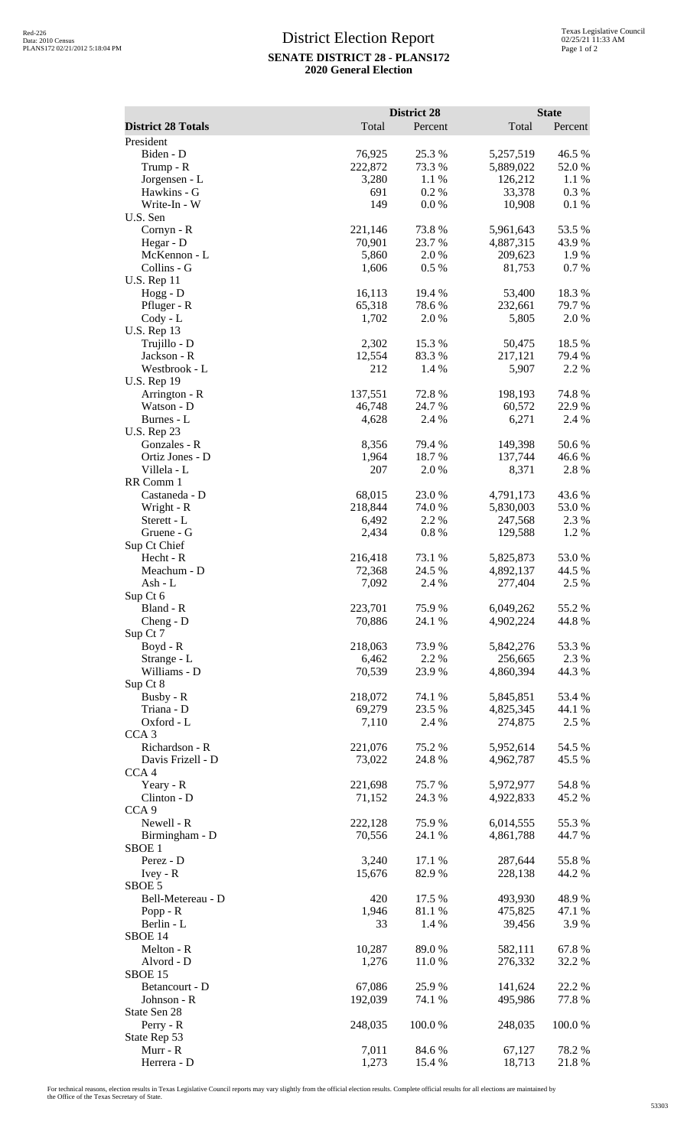## District Election Report **SENATE DISTRICT 28 - PLANS172 2020 General Election**

|                                       |                  | <b>District 28</b> |                      | <b>State</b>    |  |
|---------------------------------------|------------------|--------------------|----------------------|-----------------|--|
| <b>District 28 Totals</b>             | Total            | Percent            | Total                | Percent         |  |
| President                             |                  |                    |                      |                 |  |
| Biden - D                             | 76,925           | 25.3 %             | 5,257,519            | 46.5 %          |  |
| Trump - R                             | 222,872          | 73.3 %             | 5,889,022            | 52.0%           |  |
| Jorgensen - L<br>Hawkins - G          | 3,280<br>691     | 1.1 %<br>0.2%      | 126,212<br>33,378    | 1.1 %<br>0.3 %  |  |
| Write-In - W                          | 149              | 0.0 %              | 10,908               | 0.1 %           |  |
| U.S. Sen                              |                  |                    |                      |                 |  |
| Cornyn - R                            | 221,146          | 73.8%              | 5,961,643            | 53.5 %          |  |
| Hegar - D                             | 70,901           | 23.7 %             | 4,887,315            | 43.9%           |  |
| McKennon - L                          | 5,860            | 2.0%               | 209,623              | 1.9%            |  |
| Collins - G                           | 1,606            | 0.5 %              | 81,753               | 0.7%            |  |
| <b>U.S. Rep 11</b>                    |                  |                    |                      |                 |  |
| Hogg - D                              | 16,113           | 19.4 %             | 53,400               | 18.3%           |  |
| Pfluger - R<br>$Cody - L$             | 65,318<br>1,702  | 78.6%<br>2.0 %     | 232,661<br>5,805     | 79.7 %<br>2.0 % |  |
| <b>U.S. Rep 13</b>                    |                  |                    |                      |                 |  |
| Trujillo - D                          | 2,302            | 15.3 %             | 50,475               | 18.5 %          |  |
| Jackson - R                           | 12,554           | 83.3%              | 217,121              | 79.4 %          |  |
| Westbrook - L                         | 212              | 1.4 %              | 5,907                | 2.2 %           |  |
| <b>U.S. Rep 19</b>                    |                  |                    |                      |                 |  |
| Arrington - R                         | 137,551          | 72.8 %             | 198,193              | 74.8%           |  |
| Watson - D                            | 46,748           | 24.7 %             | 60,572               | 22.9%           |  |
| Burnes - L<br><b>U.S. Rep 23</b>      | 4,628            | 2.4 %              | 6,271                | 2.4 %           |  |
| Gonzales - R                          | 8,356            | 79.4 %             | 149,398              | 50.6%           |  |
| Ortiz Jones - D                       | 1,964            | 18.7%              | 137,744              | 46.6%           |  |
| Villela - L                           | 207              | 2.0 %              | 8,371                | 2.8%            |  |
| RR Comm 1                             |                  |                    |                      |                 |  |
| Castaneda - D                         | 68,015           | 23.0%              | 4,791,173            | 43.6%           |  |
| Wright - R                            | 218,844          | 74.0 %             | 5,830,003            | 53.0%           |  |
| Sterett - L                           | 6,492            | 2.2 %              | 247,568              | 2.3 %           |  |
| Gruene - G<br>Sup Ct Chief            | 2,434            | 0.8%               | 129,588              | 1.2%            |  |
| Hecht - R                             | 216,418          | 73.1 %             | 5,825,873            | 53.0%           |  |
| Meachum - D                           | 72,368           | 24.5 %             | 4,892,137            | 44.5 %          |  |
| Ash - L                               | 7,092            | 2.4 %              | 277,404              | 2.5 %           |  |
| Sup Ct 6                              |                  |                    |                      |                 |  |
| Bland - R                             | 223,701          | 75.9%              | 6,049,262            | 55.2%           |  |
| Cheng - D                             | 70,886           | 24.1 %             | 4,902,224            | 44.8 %          |  |
| Sup Ct 7                              |                  |                    |                      |                 |  |
| Boyd - R<br>Strange - L               | 218,063<br>6,462 | 73.9%<br>2.2 %     | 5,842,276<br>256,665 | 53.3%<br>2.3 %  |  |
| Williams - D                          | 70,539           | 23.9%              | 4,860,394            | 44.3 %          |  |
| Sup Ct 8                              |                  |                    |                      |                 |  |
| Busby - R                             | 218,072          | 74.1 %             | 5,845,851            | 53.4 %          |  |
| Triana - D                            | 69,279           | 23.5 %             | 4,825,345            | 44.1 %          |  |
| Oxford - L                            | 7,110            | 2.4 %              | 274,875              | 2.5 %           |  |
| CCA <sub>3</sub>                      |                  |                    |                      |                 |  |
| Richardson - R                        | 221,076          | 75.2 %             | 5,952,614            | 54.5 %          |  |
| Davis Frizell - D<br>CCA <sub>4</sub> | 73,022           | 24.8 %             | 4,962,787            | 45.5 %          |  |
| Yeary - R                             | 221,698          | 75.7%              | 5,972,977            | 54.8%           |  |
| Clinton - D                           | 71,152           | 24.3 %             | 4,922,833            | 45.2 %          |  |
| CCA <sub>9</sub>                      |                  |                    |                      |                 |  |
| Newell - R                            | 222,128          | 75.9%              | 6,014,555            | 55.3%           |  |
| Birmingham - D                        | 70,556           | 24.1 %             | 4,861,788            | 44.7 %          |  |
| SBOE <sub>1</sub>                     |                  |                    |                      |                 |  |
| Perez - D                             | 3,240            | 17.1 %             | 287,644              | 55.8%           |  |
| $Ivey - R$                            | 15,676           | 82.9%              | 228,138              | 44.2 %          |  |
| SBOE 5<br>Bell-Metereau - D           | 420              | 17.5 %             | 493,930              | 48.9%           |  |
| Popp - $R$                            | 1,946            | 81.1%              | 475,825              | 47.1 %          |  |
| Berlin - L                            | 33               | 1.4 %              | 39,456               | 3.9%            |  |
| SBOE 14                               |                  |                    |                      |                 |  |
| Melton - R                            | 10,287           | 89.0%              | 582,111              | 67.8%           |  |
| Alvord - D                            | 1,276            | 11.0%              | 276,332              | 32.2 %          |  |
| SBOE 15                               |                  |                    |                      |                 |  |
| Betancourt - D                        | 67,086           | 25.9%              | 141,624              | 22.2 %          |  |
| Johnson - R                           | 192,039          | 74.1 %             | 495,986              | 77.8%           |  |
| State Sen 28<br>Perry - R             | 248,035          | 100.0%             | 248,035              | 100.0%          |  |
| State Rep 53                          |                  |                    |                      |                 |  |
| Murr - R                              | 7,011            | 84.6 %             | 67,127               | 78.2%           |  |
| Herrera - D                           | 1,273            | 15.4 %             | 18,713               | 21.8%           |  |

For technical reasons, election results in Texas Legislative Council reports may vary slightly from the official election results. Complete official results for all elections are maintained by<br>the Office of the Texas Secre